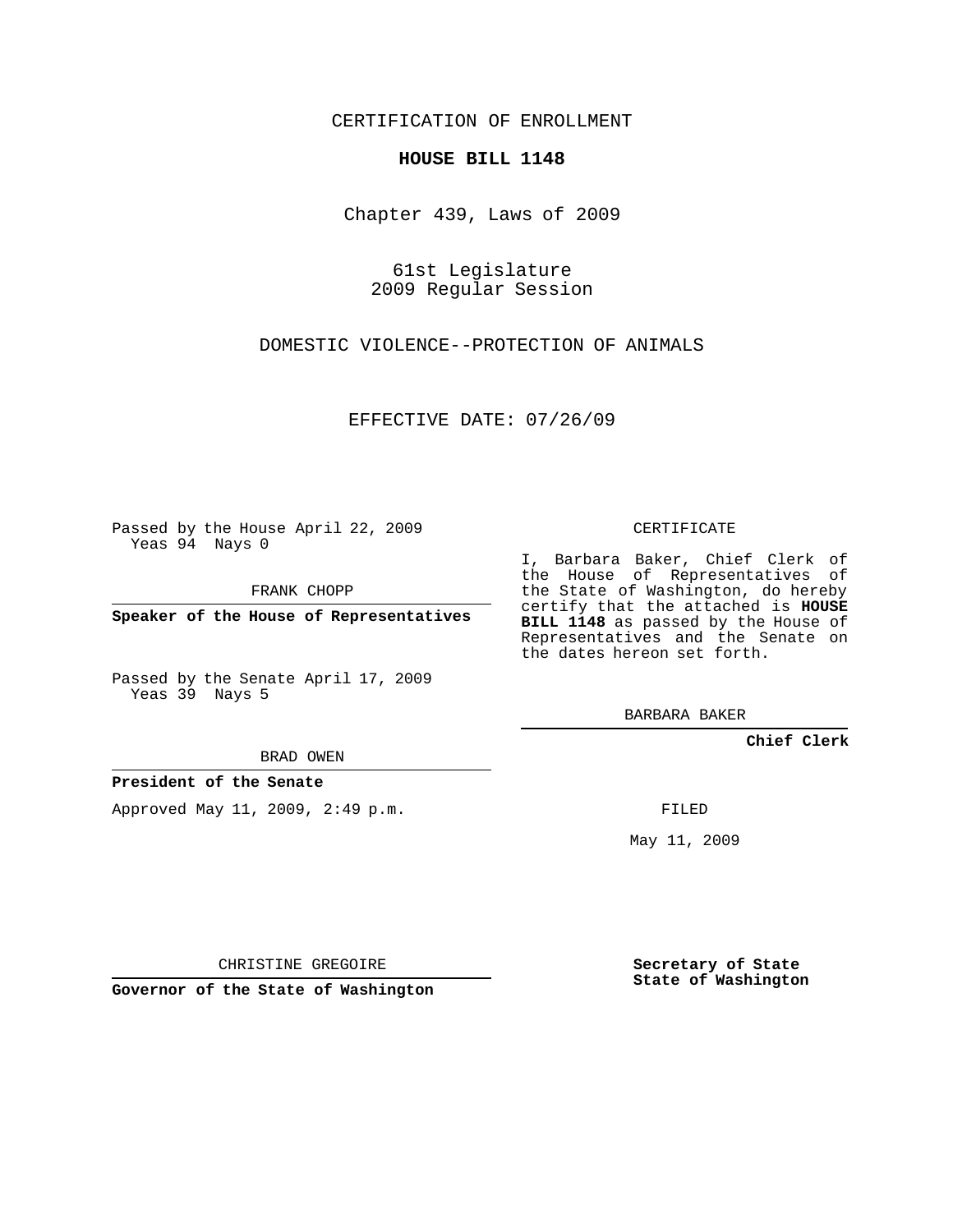CERTIFICATION OF ENROLLMENT

## **HOUSE BILL 1148**

Chapter 439, Laws of 2009

61st Legislature 2009 Regular Session

DOMESTIC VIOLENCE--PROTECTION OF ANIMALS

EFFECTIVE DATE: 07/26/09

Passed by the House April 22, 2009 Yeas 94 Nays 0

FRANK CHOPP

**Speaker of the House of Representatives**

Passed by the Senate April 17, 2009 Yeas 39 Nays 5

BRAD OWEN

**President of the Senate**

Approved May 11, 2009, 2:49 p.m.

CERTIFICATE

I, Barbara Baker, Chief Clerk of the House of Representatives of the State of Washington, do hereby certify that the attached is **HOUSE BILL 1148** as passed by the House of Representatives and the Senate on the dates hereon set forth.

BARBARA BAKER

**Chief Clerk**

FILED

May 11, 2009

**Secretary of State State of Washington**

CHRISTINE GREGOIRE

**Governor of the State of Washington**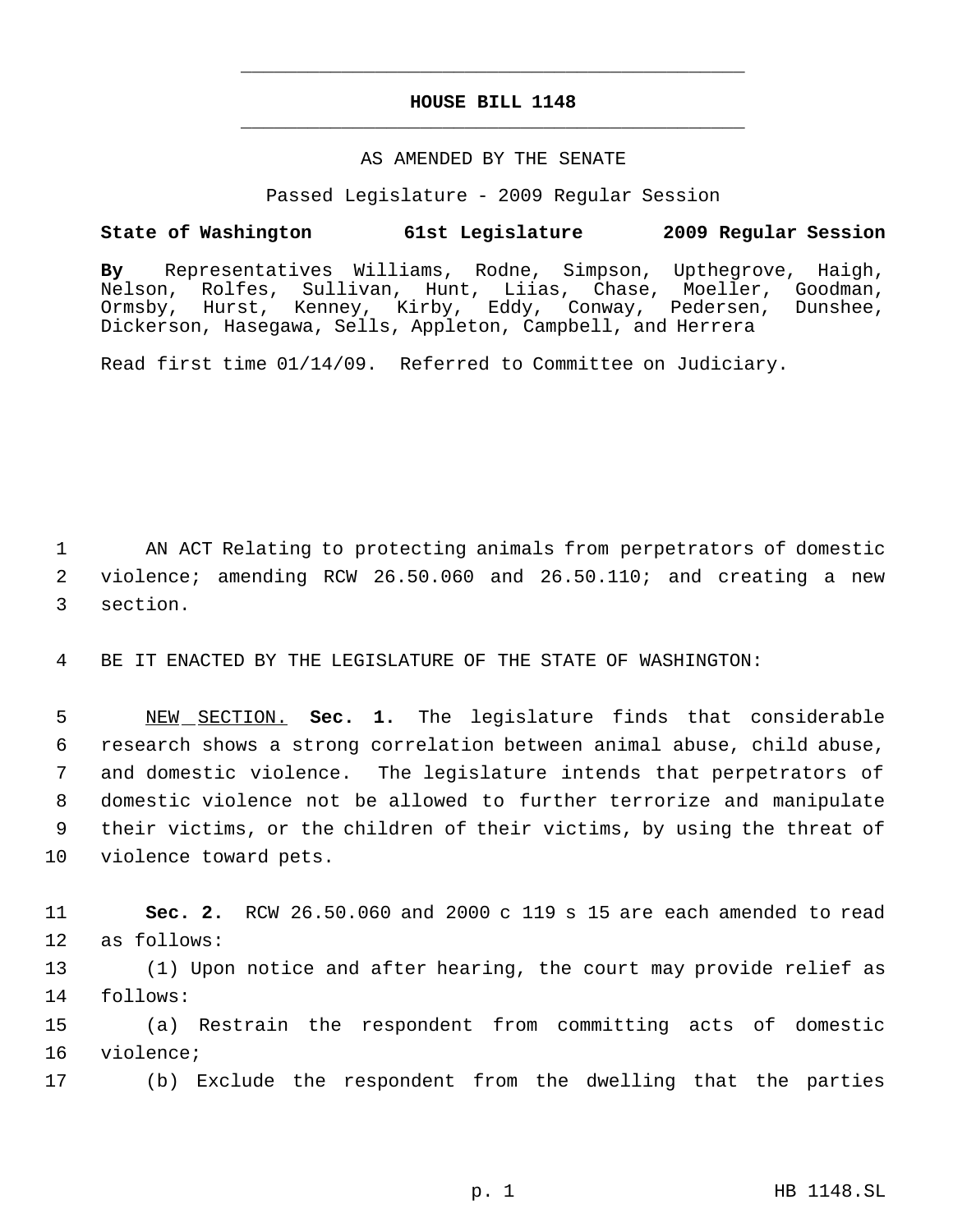## **HOUSE BILL 1148** \_\_\_\_\_\_\_\_\_\_\_\_\_\_\_\_\_\_\_\_\_\_\_\_\_\_\_\_\_\_\_\_\_\_\_\_\_\_\_\_\_\_\_\_\_

\_\_\_\_\_\_\_\_\_\_\_\_\_\_\_\_\_\_\_\_\_\_\_\_\_\_\_\_\_\_\_\_\_\_\_\_\_\_\_\_\_\_\_\_\_

## AS AMENDED BY THE SENATE

Passed Legislature - 2009 Regular Session

## **State of Washington 61st Legislature 2009 Regular Session**

**By** Representatives Williams, Rodne, Simpson, Upthegrove, Haigh, Nelson, Rolfes, Sullivan, Hunt, Liias, Chase, Moeller, Goodman, Ormsby, Hurst, Kenney, Kirby, Eddy, Conway, Pedersen, Dunshee, Dickerson, Hasegawa, Sells, Appleton, Campbell, and Herrera

Read first time 01/14/09. Referred to Committee on Judiciary.

 1 AN ACT Relating to protecting animals from perpetrators of domestic 2 violence; amending RCW 26.50.060 and 26.50.110; and creating a new 3 section.

4 BE IT ENACTED BY THE LEGISLATURE OF THE STATE OF WASHINGTON:

 NEW SECTION. **Sec. 1.** The legislature finds that considerable research shows a strong correlation between animal abuse, child abuse, and domestic violence. The legislature intends that perpetrators of domestic violence not be allowed to further terrorize and manipulate their victims, or the children of their victims, by using the threat of violence toward pets.

11 **Sec. 2.** RCW 26.50.060 and 2000 c 119 s 15 are each amended to read 12 as follows:

13 (1) Upon notice and after hearing, the court may provide relief as 14 follows:

15 (a) Restrain the respondent from committing acts of domestic 16 violence;

17 (b) Exclude the respondent from the dwelling that the parties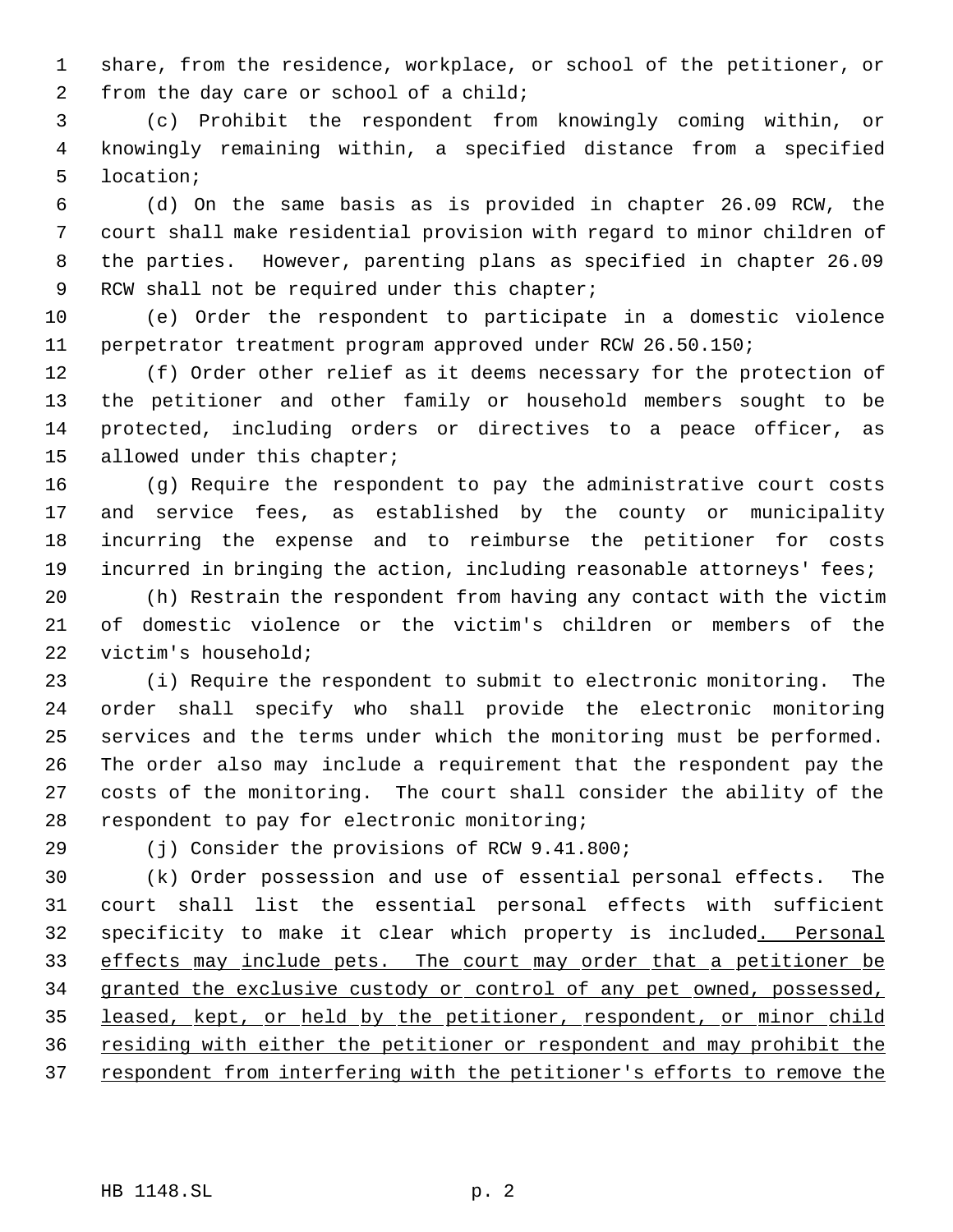share, from the residence, workplace, or school of the petitioner, or from the day care or school of a child;

 (c) Prohibit the respondent from knowingly coming within, or knowingly remaining within, a specified distance from a specified location;

 (d) On the same basis as is provided in chapter 26.09 RCW, the court shall make residential provision with regard to minor children of the parties. However, parenting plans as specified in chapter 26.09 9 RCW shall not be required under this chapter;

 (e) Order the respondent to participate in a domestic violence perpetrator treatment program approved under RCW 26.50.150;

 (f) Order other relief as it deems necessary for the protection of the petitioner and other family or household members sought to be protected, including orders or directives to a peace officer, as allowed under this chapter;

 (g) Require the respondent to pay the administrative court costs and service fees, as established by the county or municipality incurring the expense and to reimburse the petitioner for costs 19 incurred in bringing the action, including reasonable attorneys' fees;

 (h) Restrain the respondent from having any contact with the victim of domestic violence or the victim's children or members of the victim's household;

 (i) Require the respondent to submit to electronic monitoring. The order shall specify who shall provide the electronic monitoring services and the terms under which the monitoring must be performed. The order also may include a requirement that the respondent pay the costs of the monitoring. The court shall consider the ability of the respondent to pay for electronic monitoring;

(j) Consider the provisions of RCW 9.41.800;

 (k) Order possession and use of essential personal effects. The court shall list the essential personal effects with sufficient specificity to make it clear which property is included. Personal 33 effects may include pets. The court may order that a petitioner be 34 granted the exclusive custody or control of any pet owned, possessed, 35 leased, kept, or held by the petitioner, respondent, or minor child residing with either the petitioner or respondent and may prohibit the 37 respondent from interfering with the petitioner's efforts to remove the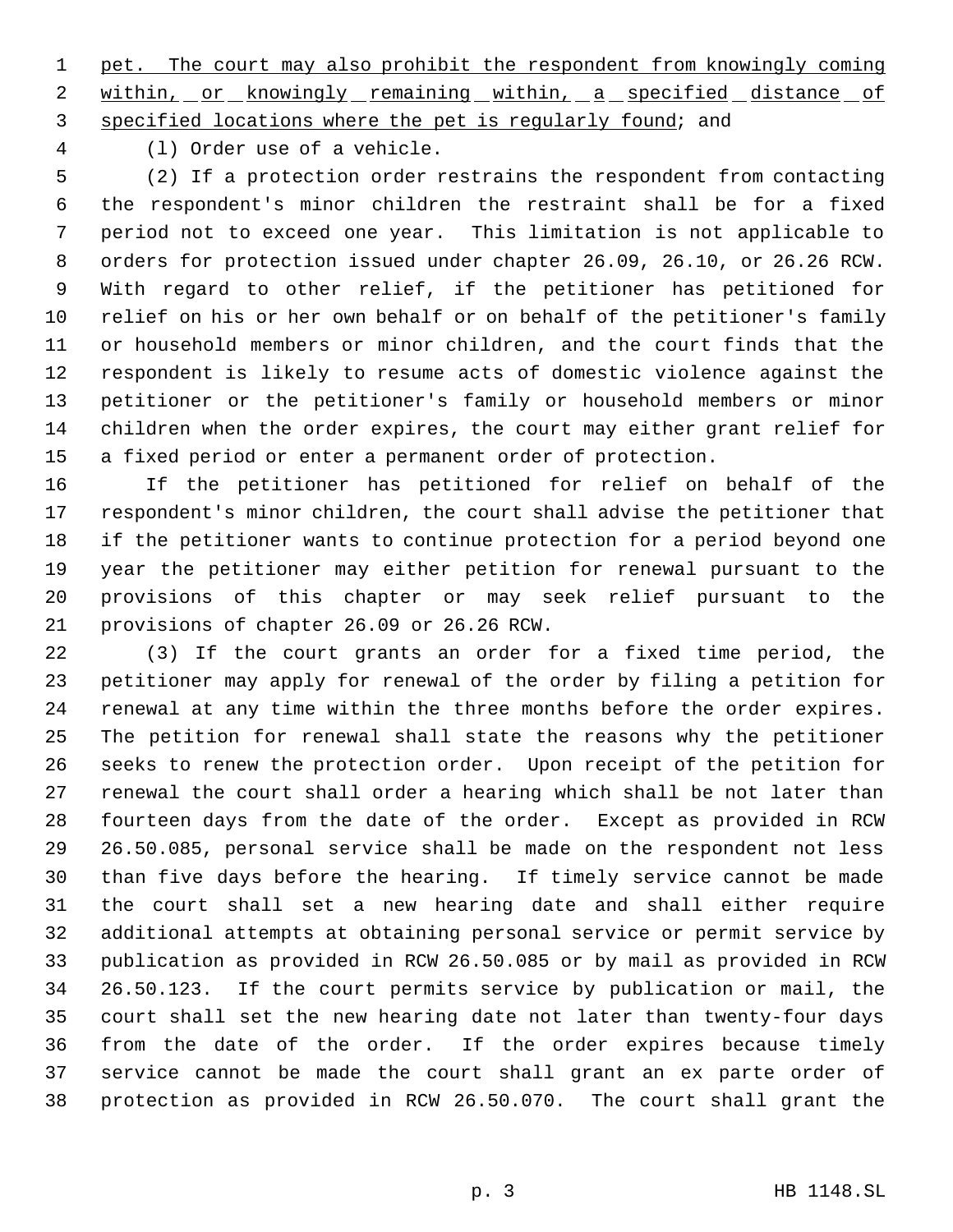pet. The court may also prohibit the respondent from knowingly coming 2 within, or knowingly remaining within, a specified distance of specified locations where the pet is regularly found; and

(l) Order use of a vehicle.

 (2) If a protection order restrains the respondent from contacting the respondent's minor children the restraint shall be for a fixed period not to exceed one year. This limitation is not applicable to orders for protection issued under chapter 26.09, 26.10, or 26.26 RCW. With regard to other relief, if the petitioner has petitioned for relief on his or her own behalf or on behalf of the petitioner's family or household members or minor children, and the court finds that the respondent is likely to resume acts of domestic violence against the petitioner or the petitioner's family or household members or minor children when the order expires, the court may either grant relief for a fixed period or enter a permanent order of protection.

 If the petitioner has petitioned for relief on behalf of the respondent's minor children, the court shall advise the petitioner that if the petitioner wants to continue protection for a period beyond one year the petitioner may either petition for renewal pursuant to the provisions of this chapter or may seek relief pursuant to the provisions of chapter 26.09 or 26.26 RCW.

 (3) If the court grants an order for a fixed time period, the petitioner may apply for renewal of the order by filing a petition for renewal at any time within the three months before the order expires. The petition for renewal shall state the reasons why the petitioner seeks to renew the protection order. Upon receipt of the petition for renewal the court shall order a hearing which shall be not later than fourteen days from the date of the order. Except as provided in RCW 26.50.085, personal service shall be made on the respondent not less than five days before the hearing. If timely service cannot be made the court shall set a new hearing date and shall either require additional attempts at obtaining personal service or permit service by publication as provided in RCW 26.50.085 or by mail as provided in RCW 26.50.123. If the court permits service by publication or mail, the court shall set the new hearing date not later than twenty-four days from the date of the order. If the order expires because timely service cannot be made the court shall grant an ex parte order of protection as provided in RCW 26.50.070. The court shall grant the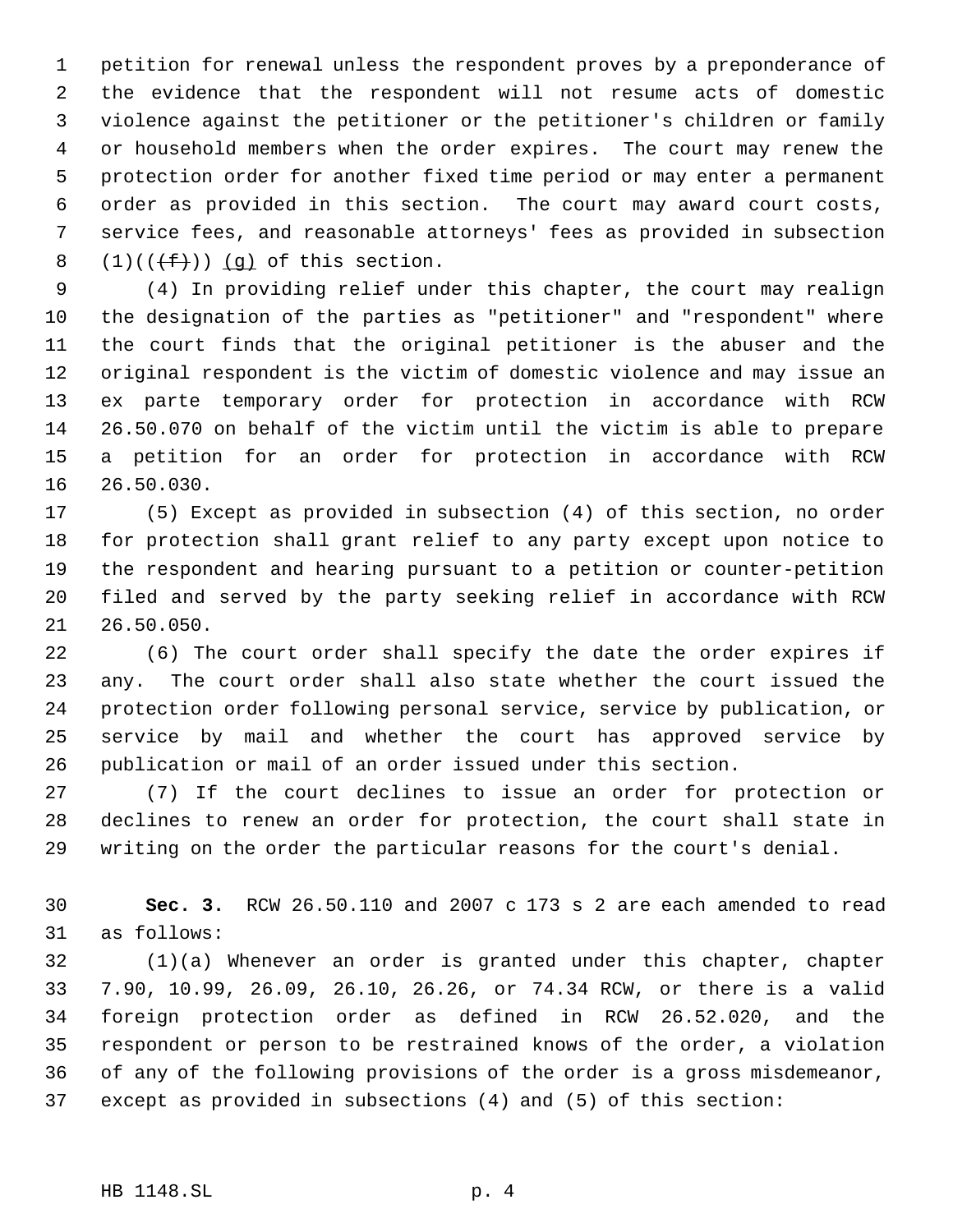petition for renewal unless the respondent proves by a preponderance of the evidence that the respondent will not resume acts of domestic violence against the petitioner or the petitioner's children or family or household members when the order expires. The court may renew the protection order for another fixed time period or may enter a permanent order as provided in this section. The court may award court costs, service fees, and reasonable attorneys' fees as provided in subsection  $(1)((\text{#}))$  (q) of this section.

 (4) In providing relief under this chapter, the court may realign the designation of the parties as "petitioner" and "respondent" where the court finds that the original petitioner is the abuser and the original respondent is the victim of domestic violence and may issue an ex parte temporary order for protection in accordance with RCW 26.50.070 on behalf of the victim until the victim is able to prepare a petition for an order for protection in accordance with RCW 26.50.030.

 (5) Except as provided in subsection (4) of this section, no order for protection shall grant relief to any party except upon notice to the respondent and hearing pursuant to a petition or counter-petition filed and served by the party seeking relief in accordance with RCW 26.50.050.

 (6) The court order shall specify the date the order expires if any. The court order shall also state whether the court issued the protection order following personal service, service by publication, or service by mail and whether the court has approved service by publication or mail of an order issued under this section.

 (7) If the court declines to issue an order for protection or declines to renew an order for protection, the court shall state in writing on the order the particular reasons for the court's denial.

 **Sec. 3.** RCW 26.50.110 and 2007 c 173 s 2 are each amended to read as follows:

 (1)(a) Whenever an order is granted under this chapter, chapter 7.90, 10.99, 26.09, 26.10, 26.26, or 74.34 RCW, or there is a valid foreign protection order as defined in RCW 26.52.020, and the respondent or person to be restrained knows of the order, a violation of any of the following provisions of the order is a gross misdemeanor, except as provided in subsections (4) and (5) of this section: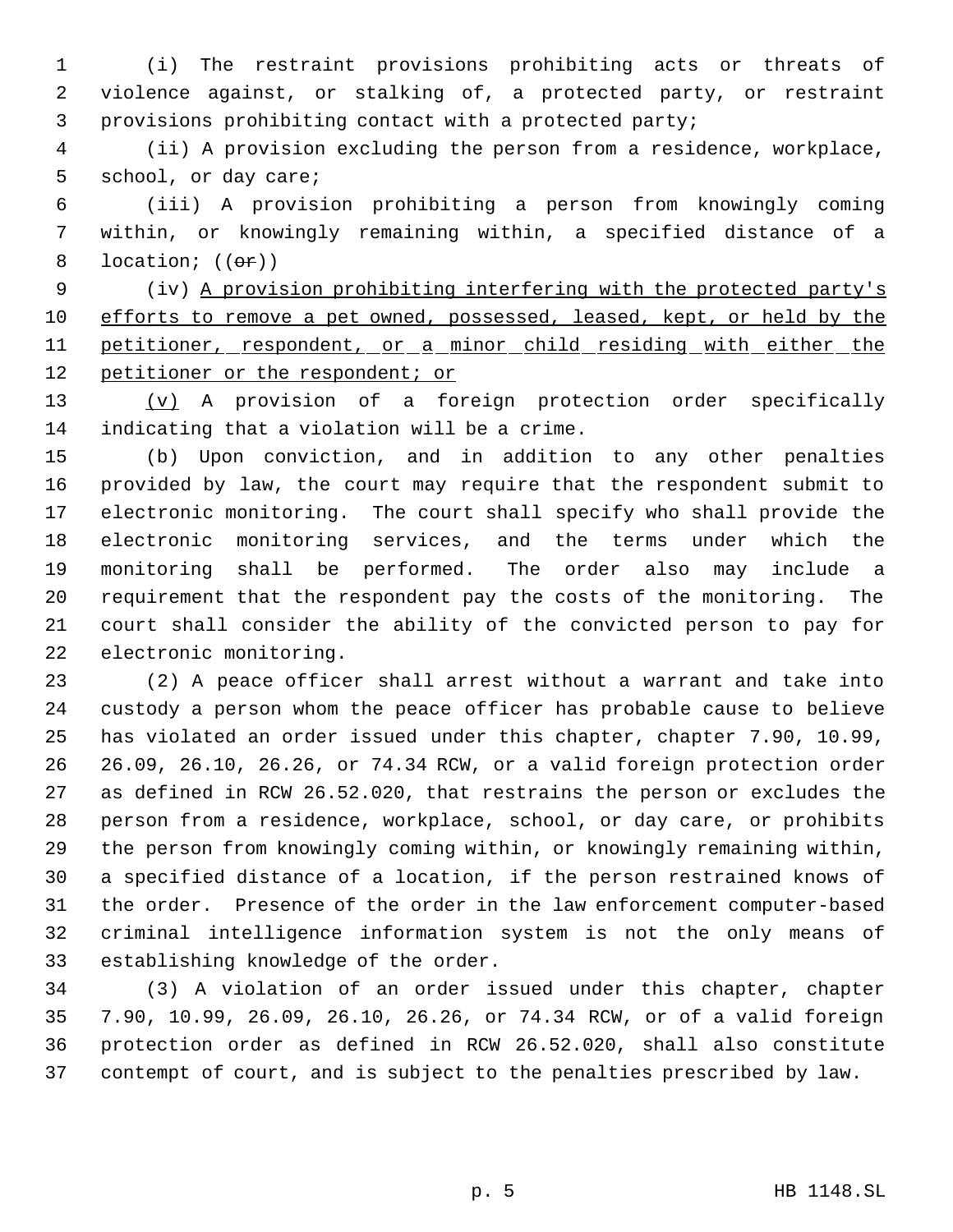(i) The restraint provisions prohibiting acts or threats of violence against, or stalking of, a protected party, or restraint provisions prohibiting contact with a protected party;

 (ii) A provision excluding the person from a residence, workplace, school, or day care;

 (iii) A provision prohibiting a person from knowingly coming within, or knowingly remaining within, a specified distance of a 8 location;  $((\theta \cdot \mathbf{r}))$ 

 (iv) A provision prohibiting interfering with the protected party's 10 efforts to remove a pet owned, possessed, leased, kept, or held by the 11 petitioner, respondent, or a minor child residing with either the 12 petitioner or the respondent; or

 (v) A provision of a foreign protection order specifically indicating that a violation will be a crime.

 (b) Upon conviction, and in addition to any other penalties provided by law, the court may require that the respondent submit to electronic monitoring. The court shall specify who shall provide the electronic monitoring services, and the terms under which the monitoring shall be performed. The order also may include a requirement that the respondent pay the costs of the monitoring. The court shall consider the ability of the convicted person to pay for electronic monitoring.

 (2) A peace officer shall arrest without a warrant and take into custody a person whom the peace officer has probable cause to believe has violated an order issued under this chapter, chapter 7.90, 10.99, 26.09, 26.10, 26.26, or 74.34 RCW, or a valid foreign protection order as defined in RCW 26.52.020, that restrains the person or excludes the person from a residence, workplace, school, or day care, or prohibits the person from knowingly coming within, or knowingly remaining within, a specified distance of a location, if the person restrained knows of the order. Presence of the order in the law enforcement computer-based criminal intelligence information system is not the only means of establishing knowledge of the order.

 (3) A violation of an order issued under this chapter, chapter 7.90, 10.99, 26.09, 26.10, 26.26, or 74.34 RCW, or of a valid foreign protection order as defined in RCW 26.52.020, shall also constitute contempt of court, and is subject to the penalties prescribed by law.